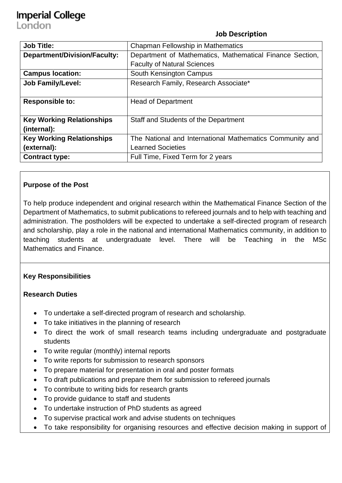# **Imperial College**

London

#### **Job Description**

| <b>Job Title:</b>                   | Chapman Fellowship in Mathematics                        |
|-------------------------------------|----------------------------------------------------------|
| <b>Department/Division/Faculty:</b> | Department of Mathematics, Mathematical Finance Section, |
|                                     | <b>Faculty of Natural Sciences</b>                       |
| <b>Campus location:</b>             | South Kensington Campus                                  |
| <b>Job Family/Level:</b>            | Research Family, Research Associate*                     |
|                                     |                                                          |
| <b>Responsible to:</b>              | <b>Head of Department</b>                                |
|                                     |                                                          |
| <b>Key Working Relationships</b>    | Staff and Students of the Department                     |
| (internal):                         |                                                          |
| <b>Key Working Relationships</b>    | The National and International Mathematics Community and |
| (external):                         | <b>Learned Societies</b>                                 |
| <b>Contract type:</b>               | Full Time, Fixed Term for 2 years                        |

#### **Purpose of the Post**

To help produce independent and original research within the Mathematical Finance Section of the Department of Mathematics, to submit publications to refereed journals and to help with teaching and administration. The postholders will be expected to undertake a self-directed program of research and scholarship, play a role in the national and international Mathematics community, in addition to teaching students at undergraduate level. There will be Teaching in the MSc Mathematics and Finance.

### **Key Responsibilities**

#### **Research Duties**

- To undertake a self-directed program of research and scholarship.
- To take initiatives in the planning of research
- To direct the work of small research teams including undergraduate and postgraduate students
- To write regular (monthly) internal reports
- To write reports for submission to research sponsors
- To prepare material for presentation in oral and poster formats
- To draft publications and prepare them for submission to refereed journals
- To contribute to writing bids for research grants
- To provide guidance to staff and students
- To undertake instruction of PhD students as agreed
- To supervise practical work and advise students on techniques
- To take responsibility for organising resources and effective decision making in support of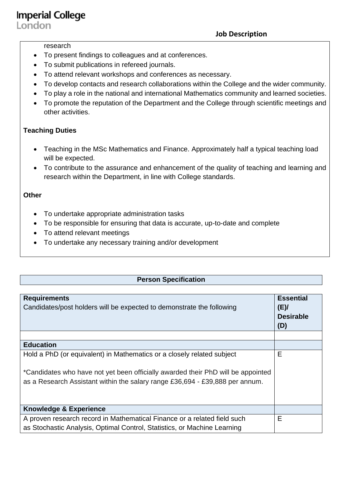**Imperial College** London

**Job Description**

#### research

- To present findings to colleagues and at conferences.
- To submit publications in refereed journals.
- To attend relevant workshops and conferences as necessary.
- To develop contacts and research collaborations within the College and the wider community.
- To play a role in the national and international Mathematics community and learned societies.
- To promote the reputation of the Department and the College through scientific meetings and other activities.

#### **Teaching Duties**

- Teaching in the MSc Mathematics and Finance. Approximately half a typical teaching load will be expected.
- To contribute to the assurance and enhancement of the quality of teaching and learning and research within the Department, in line with College standards.

#### **Other**

- To undertake appropriate administration tasks
- To be responsible for ensuring that data is accurate, up-to-date and complete
- To attend relevant meetings
- To undertake any necessary training and/or development

#### **Person Specification**

| <b>Requirements</b><br>Candidates/post holders will be expected to demonstrate the following                                                                                                                                               | <b>Essential</b><br>(E)<br><b>Desirable</b><br>(D) |
|--------------------------------------------------------------------------------------------------------------------------------------------------------------------------------------------------------------------------------------------|----------------------------------------------------|
|                                                                                                                                                                                                                                            |                                                    |
| <b>Education</b>                                                                                                                                                                                                                           |                                                    |
| Hold a PhD (or equivalent) in Mathematics or a closely related subject<br>*Candidates who have not yet been officially awarded their PhD will be appointed<br>as a Research Assistant within the salary range £36,694 - £39,888 per annum. | E                                                  |
| <b>Knowledge &amp; Experience</b>                                                                                                                                                                                                          |                                                    |
| A proven research record in Mathematical Finance or a related field such<br>as Stochastic Analysis, Optimal Control, Statistics, or Machine Learning                                                                                       | E                                                  |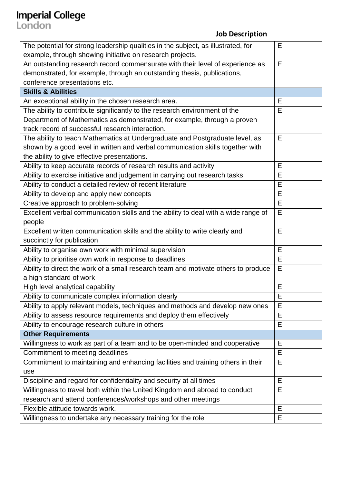# **Imperial College**<br> **John Description**<br> **John Description**

| The potential for strong leadership qualities in the subject, as illustrated, for  | E |
|------------------------------------------------------------------------------------|---|
| example, through showing initiative on research projects.                          |   |
| An outstanding research record commensurate with their level of experience as      | E |
| demonstrated, for example, through an outstanding thesis, publications,            |   |
| conference presentations etc.                                                      |   |
| <b>Skills &amp; Abilities</b>                                                      |   |
| An exceptional ability in the chosen research area.                                | E |
| The ability to contribute significantly to the research environment of the         | Е |
| Department of Mathematics as demonstrated, for example, through a proven           |   |
| track record of successful research interaction.                                   |   |
| The ability to teach Mathematics at Undergraduate and Postgraduate level, as       | E |
| shown by a good level in written and verbal communication skills together with     |   |
| the ability to give effective presentations.                                       |   |
| Ability to keep accurate records of research results and activity                  | Е |
| Ability to exercise initiative and judgement in carrying out research tasks        | E |
| Ability to conduct a detailed review of recent literature                          | E |
| Ability to develop and apply new concepts                                          | E |
| Creative approach to problem-solving                                               | E |
| Excellent verbal communication skills and the ability to deal with a wide range of | E |
| people                                                                             |   |
| Excellent written communication skills and the ability to write clearly and        | E |
| succinctly for publication                                                         |   |
| Ability to organise own work with minimal supervision                              | E |
| Ability to prioritise own work in response to deadlines                            | E |
| Ability to direct the work of a small research team and motivate others to produce | E |
| a high standard of work                                                            |   |
| High level analytical capability                                                   | E |
| Ability to communicate complex information clearly                                 | Е |
| Ability to apply relevant models, techniques and methods and develop new ones      | Е |
| Ability to assess resource requirements and deploy them effectively                | E |
| Ability to encourage research culture in others                                    | E |
| <b>Other Requirements</b>                                                          |   |
| Willingness to work as part of a team and to be open-minded and cooperative        | E |
| Commitment to meeting deadlines                                                    | E |
| Commitment to maintaining and enhancing facilities and training others in their    | E |
| use                                                                                |   |
| Discipline and regard for confidentiality and security at all times                | E |
| Willingness to travel both within the United Kingdom and abroad to conduct         | Е |
| research and attend conferences/workshops and other meetings                       |   |
| Flexible attitude towards work.                                                    | E |
| Willingness to undertake any necessary training for the role                       | E |